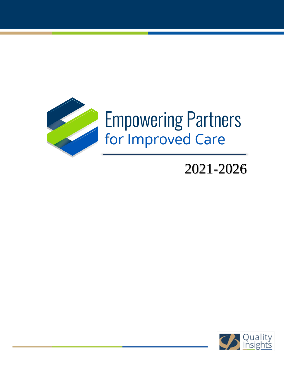

# 2021-2026

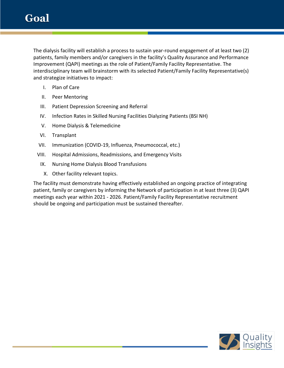The dialysis facility will establish a process to sustain year-round engagement of at least two (2) patients, family members and/or caregivers in the facility's Quality Assurance and Performance Improvement (QAPI) meetings as the role of Patient/Family Facility Representative. The interdisciplinary team will brainstorm with its selected Patient/Family Facility Representative(s) and strategize initiatives to impact:

- I. Plan of Care
- II. Peer Mentoring
- III. Patient Depression Screening and Referral
- IV. Infection Rates in Skilled Nursing Facilities Dialyzing Patients (BSI NH)
- V. Home Dialysis & Telemedicine
- VI. Transplant
- VII. Immunization (COVID-19, Influenza, Pneumococcal, etc.)
- VIII. Hospital Admissions, Readmissions, and Emergency Visits
	- IX. Nursing Home Dialysis Blood Transfusions
		- X. Other facility relevant topics.

The facility must demonstrate having effectively established an ongoing practice of integrating patient, family or caregivers by informing the Network of participation in at least three (3) QAPI meetings each year within 2021 - 2026. Patient/Family Facility Representative recruitment should be ongoing and participation must be sustained thereafter.

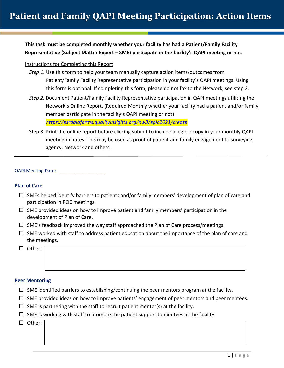# **This task must be completed monthly whether your facility has had a Patient/Family Facility Representative (Subject Matter Expert – SME) participate in the facility's QAPI meeting or not.**

#### Instructions for Completing this Report

- *Step 1.* Use this form to help your team manually capture action items/outcomes from Patient/Family Facility Representative participation in your facility's QAPI meetings. Using this form is optional. If completing this form, please do not fax to the Network, see step 2.
- *Step 2.* Document Patient/Family Facility Representative participation in QAPI meetings utilizing the Network's Online Report. (Required Monthly whether your facility had a patient and/or family member participate in the facility's QAPI meeting or not) *<https://esrdqiaforms.qualityinsights.org/nw3/epic2021/create>*
- Step 3. Print the online report before clicking submit to include a legible copy in your monthly QAPI meeting minutes. This may be used as proof of patient and family engagement to surveying agency, Network and others.

QAPI Meeting Date: \_\_\_\_\_\_

### **Plan of Care**

- $\Box$  SMEs helped identify barriers to patients and/or family members' development of plan of care and participation in POC meetings.
- $\Box$  SME provided ideas on how to improve patient and family members' participation in the development of Plan of Care.
- $\Box$  SME's feedback improved the way staff approached the Plan of Care process/meetings.
- $\Box$  SME worked with staff to address patient education about the importance of the plan of care and the meetings.
- □ Other:

#### **Peer Mentoring**

- $\Box$  SME identified barriers to establishing/continuing the peer mentors program at the facility.
- $\Box$  SME provided ideas on how to improve patients' engagement of peer mentors and peer mentees.
- $\Box$  SME is partnering with the staff to recruit patient mentor(s) at the facility.
- $\Box$  SME is working with staff to promote the patient support to mentees at the facility.

□ Other: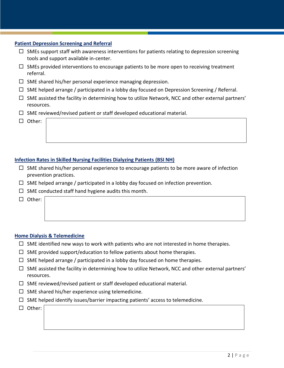# **Patient Depression Screening and Referral**

- $\Box$  SMEs support staff with awareness interventions for patients relating to depression screening tools and support available in-center.
- $\Box$  SMEs provided interventions to encourage patients to be more open to receiving treatment referral.
- $\Box$  SME shared his/her personal experience managing depression.
- $\Box$  SME helped arrange / participated in a lobby day focused on Depression Screening / Referral.
- $\Box$  SME assisted the facility in determining how to utilize Network, NCC and other external partners' resources.
- $\Box$  SME reviewed/revised patient or staff developed educational material.
- □ Other:

# **Infection Rates in Skilled Nursing Facilities Dialyzing Patients (BSI NH)**

- $\Box$  SME shared his/her personal experience to encourage patients to be more aware of infection prevention practices.
- $\Box$  SME helped arrange / participated in a lobby day focused on infection prevention.
- $\Box$  SME conducted staff hand hygiene audits this month.
- □ Other:

# **Home Dialysis & Telemedicine**

- $\Box$  SME identified new ways to work with patients who are not interested in home therapies.
- $\Box$  SME provided support/education to fellow patients about home therapies.
- $\Box$  SME helped arrange / participated in a lobby day focused on home therapies.
- $\Box$  SME assisted the facility in determining how to utilize Network, NCC and other external partners' resources.
- $\Box$  SME reviewed/revised patient or staff developed educational material.
- $\Box$  SME shared his/her experience using telemedicine.
- $\Box$  SME helped identify issues/barrier impacting patients' access to telemedicine.
- $\Box$  Other: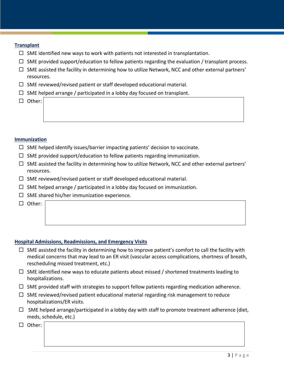### **Transplant**

- $\Box$  SME identified new ways to work with patients not interested in transplantation.
- $\Box$  SME provided support/education to fellow patients regarding the evaluation / transplant process.
- $\Box$  SME assisted the facility in determining how to utilize Network, NCC and other external partners' resources.
- $\Box$  SME reviewed/revised patient or staff developed educational material.
- $\Box$  SME helped arrange / participated in a lobby day focused on transplant.
- □ Other:

# **Immunization**

- $\Box$  SME helped identify issues/barrier impacting patients' decision to vaccinate.
- $\Box$  SME provided support/education to fellow patients regarding immunization.
- $\Box$  SME assisted the facility in determining how to utilize Network, NCC and other external partners' resources.
- $\Box$  SME reviewed/revised patient or staff developed educational material.
- $\Box$  SME helped arrange / participated in a lobby day focused on immunization.
- $\Box$  SME shared his/her immunization experience.
- $\Box$  Other:

### **Hospital Admissions, Readmissions, and Emergency Visits**

- $\Box$  SME assisted the facility in determining how to improve patient's comfort to call the facility with medical concerns that may lead to an ER visit (vascular access complications, shortness of breath, rescheduling missed treatment, etc.)
- $\Box$  SME identified new ways to educate patients about missed / shortened treatments leading to hospitalizations.
- $\Box$  SME provided staff with strategies to support fellow patients regarding medication adherence.
- $\Box$  SME reviewed/revised patient educational material regarding risk management to reduce hospitalizations/ER visits.
- $\Box$  SME helped arrange/participated in a lobby day with staff to promote treatment adherence (diet, meds, schedule, etc.)
- □ Other: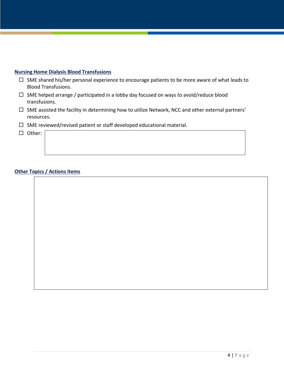# **Nursing Home Dialysis Blood Transfusions**

- $\Box$  SME shared his/her personal experience to encourage patients to be more aware of what leads to Blood Transfusions.
- $\Box$  SME helped arrange / participated in a lobby day focused on ways to avoid/reduce blood transfusions.
- $\Box$  SME assisted the facility in determining how to utilize Network, NCC and other external partners' resources.
- $\square$  SME reviewed/revised patient or staff developed educational material.
- □ Other:

# **Other Topics / Actions Items**